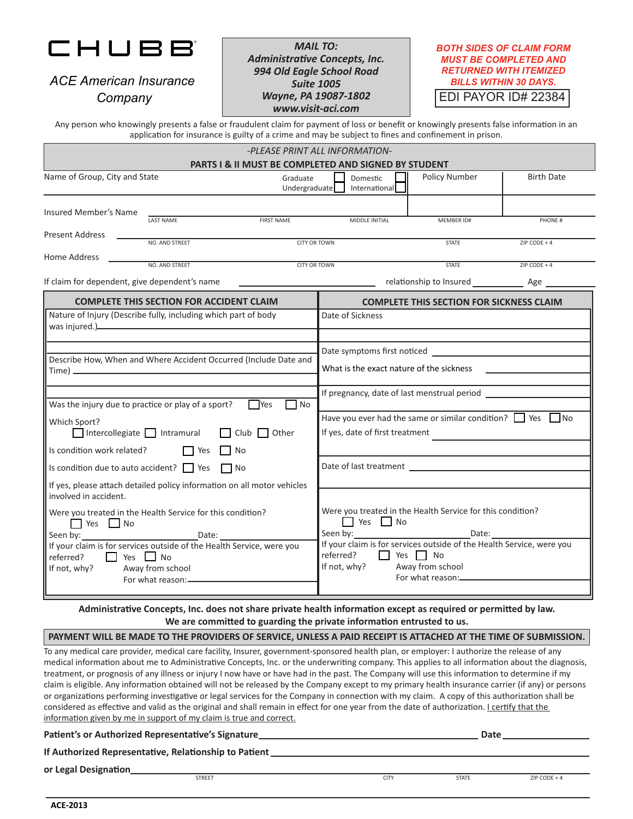

*ACE American Insurance Company*

*MAIL TO: Administrative Concepts, Inc. 994 Old Eagle School Road Suite 1005 Wayne, PA 19087-1802 www.visit-aci.com*

*BOTH SIDES OF CLAIM FORM MUST BE COMPLETED AND RETURNED WITH ITEMIZED BILLS WITHIN 30 DAYS.*

EDI PAYOR ID# 22384

Any person who knowingly presents a false or fraudulent claim for payment of loss or benefit or knowingly presents false information in an application for insurance is guilty of a crime and may be subject to fines and confinement in prison.

| -PLEASE PRINT ALL INFORMATION-                                                                                                                                                                                                   |                |                           |                                                                                                                                                                                                                               |                                                                                                             |                |  |
|----------------------------------------------------------------------------------------------------------------------------------------------------------------------------------------------------------------------------------|----------------|---------------------------|-------------------------------------------------------------------------------------------------------------------------------------------------------------------------------------------------------------------------------|-------------------------------------------------------------------------------------------------------------|----------------|--|
| PARTS I & II MUST BE COMPLETED AND SIGNED BY STUDENT<br>Name of Group, City and State<br>Graduate<br>Undergraduate                                                                                                               |                | Domestic<br>International | Policy Number                                                                                                                                                                                                                 | <b>Birth Date</b>                                                                                           |                |  |
| Insured Member's Name                                                                                                                                                                                                            |                |                           |                                                                                                                                                                                                                               |                                                                                                             |                |  |
| Present Address                                                                                                                                                                                                                  | LAST NAME      | <b>FIRST NAME</b>         | MIDDLE INITIAL                                                                                                                                                                                                                | MEMBER ID#                                                                                                  | PHONE #        |  |
| NO. AND STREET<br>CITY OR TOWN<br>Home Address                                                                                                                                                                                   |                |                           | <b>STATE</b>                                                                                                                                                                                                                  | ZIP CODE + 4                                                                                                |                |  |
|                                                                                                                                                                                                                                  | NO. AND STREET | <b>CITY OR TOWN</b>       |                                                                                                                                                                                                                               | <b>STATE</b>                                                                                                | $ZIP$ CODE + 4 |  |
| If claim for dependent, give dependent's name                                                                                                                                                                                    |                |                           | contract to the summary of the set of the set of the set of the set of the set of the set of the set of the set of the set of the set of the set of the set of the set of the set of the set of the set of the set of the set |                                                                                                             |                |  |
| <b>COMPLETE THIS SECTION FOR ACCIDENT CLAIM</b><br>Nature of Injury (Describe fully, including which part of body                                                                                                                |                |                           | <b>COMPLETE THIS SECTION FOR SICKNESS CLAIM</b>                                                                                                                                                                               |                                                                                                             |                |  |
| was injured.)<br>under the contract of the contract of the contract of the contract of the contract of the contract of the contract of the contract of the contract of the contract of the contract of the contract of the contr |                |                           | Date of Sickness                                                                                                                                                                                                              |                                                                                                             |                |  |
| Describe How, When and Where Accident Occurred (Include Date and                                                                                                                                                                 |                |                           | What is the exact nature of the sickness                                                                                                                                                                                      |                                                                                                             |                |  |
| Was the injury due to practice or play of a sport?                                                                                                                                                                               |                | <b>T</b> Yes<br>$\Box$ No |                                                                                                                                                                                                                               |                                                                                                             |                |  |
| Which Sport?<br>Intercollegiate $\Box$ Intramural<br>$\Box$ Club $\Box$ Other                                                                                                                                                    |                |                           | Have you ever had the same or similar condition? $\Box$ Yes $\Box$ No<br>If yes, date of first treatment                                                                                                                      |                                                                                                             |                |  |
| Is condition work related? $\Box$ Yes $\Box$ No                                                                                                                                                                                  |                |                           |                                                                                                                                                                                                                               |                                                                                                             |                |  |
| Is condition due to auto accident? $\Box$ Yes $\Box$ No                                                                                                                                                                          |                |                           |                                                                                                                                                                                                                               |                                                                                                             |                |  |
| If yes, please attach detailed policy information on all motor vehicles<br>involved in accident.                                                                                                                                 |                |                           |                                                                                                                                                                                                                               |                                                                                                             |                |  |
| Were you treated in the Health Service for this condition?<br>Yes Mo<br>If your claim is for services outside of the Health Service, were you<br>referred?<br>No Nes No<br>If not, why?<br>Away from school<br>For what reason:- |                |                           | $\Box$ Yes $\Box$ No<br>Seen by:<br>If your claim is for services outside of the Health Service, were you<br>referred?<br>No Yes No<br>If not, why?                                                                           | Were you treated in the Health Service for this condition?<br>Date:<br>Away from school<br>For what reason: |                |  |

**Administrative Concepts, Inc. does not share private health information except as required or permitted by law. We are committed to guarding the private information entrusted to us.**

## **PAYMENT WILL BE MADE TO THE PROVIDERS OF SERVICE, UNLESS A PAID RECEIPT IS ATTACHED AT THE TIME OF SUBMISSION.**

To any medical care provider, medical care facility, Insurer, government-sponsored health plan, or employer: I authorize the release of any medical information about me to Administrative Concepts, Inc. or the underwriting company. This applies to all information about the diagnosis, treatment, or prognosis of any illness or injury I now have or have had in the past. The Company will use this information to determine if my claim is eligible. Any information obtained will not be released by the Company except to my primary health insurance carrier (if any) or persons or organizations performing investigative or legal services for the Company in connection with my claim. A copy of this authorization shall be considered as effective and valid as the original and shall remain in effect for one year from the date of authorization. I certify that the information given by me in support of my claim is true and correct.

**Patient's or Authorized Representative's Signature <b>Date 1996 Date 1996 Date 1996 Date 1996 Date 1996 Date 1996** 

**If Authorized Representative, Relationship to Patient** 

**or Legal Designation**

STREET EXAMPLE 2IP CODE + 4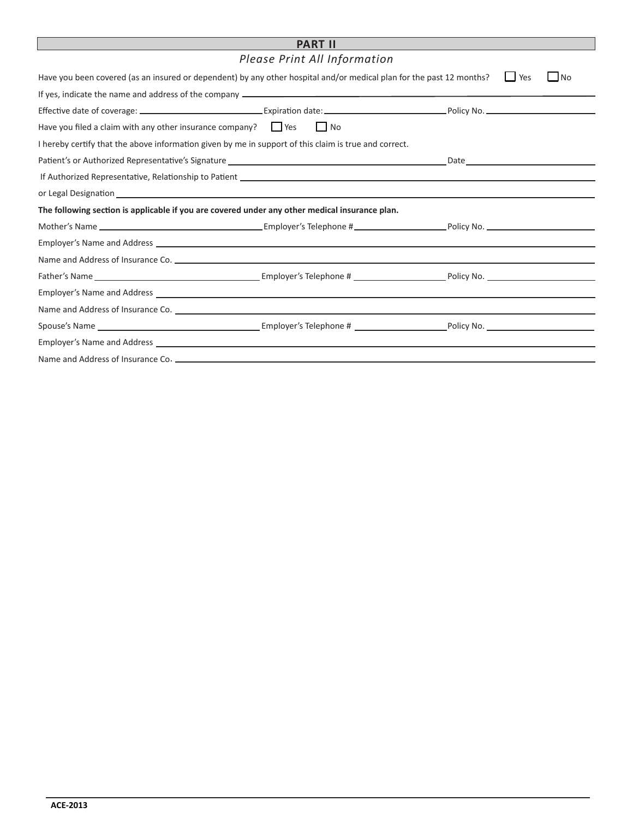## **PART II**

*Please Print All Information* 

| Have you been covered (as an insured or dependent) by any other hospital and/or medical plan for the past 12 months?                                                                                                           |    | $\Box$<br>Yes<br>N <sub>O</sub> |  |  |  |  |
|--------------------------------------------------------------------------------------------------------------------------------------------------------------------------------------------------------------------------------|----|---------------------------------|--|--|--|--|
|                                                                                                                                                                                                                                |    |                                 |  |  |  |  |
|                                                                                                                                                                                                                                |    |                                 |  |  |  |  |
| Have you filed a claim with any other insurance company? $\Box$ Yes                                                                                                                                                            | No |                                 |  |  |  |  |
| I hereby certify that the above information given by me in support of this claim is true and correct.                                                                                                                          |    |                                 |  |  |  |  |
|                                                                                                                                                                                                                                |    |                                 |  |  |  |  |
|                                                                                                                                                                                                                                |    |                                 |  |  |  |  |
|                                                                                                                                                                                                                                |    |                                 |  |  |  |  |
| The following section is applicable if you are covered under any other medical insurance plan.                                                                                                                                 |    |                                 |  |  |  |  |
|                                                                                                                                                                                                                                |    |                                 |  |  |  |  |
|                                                                                                                                                                                                                                |    |                                 |  |  |  |  |
|                                                                                                                                                                                                                                |    |                                 |  |  |  |  |
|                                                                                                                                                                                                                                |    |                                 |  |  |  |  |
| Employer's Name and Address entry the control of the control of the control of the control of the control of the control of the control of the control of the control of the control of the control of the control of the cont |    |                                 |  |  |  |  |
|                                                                                                                                                                                                                                |    |                                 |  |  |  |  |
|                                                                                                                                                                                                                                |    |                                 |  |  |  |  |
|                                                                                                                                                                                                                                |    |                                 |  |  |  |  |
|                                                                                                                                                                                                                                |    |                                 |  |  |  |  |